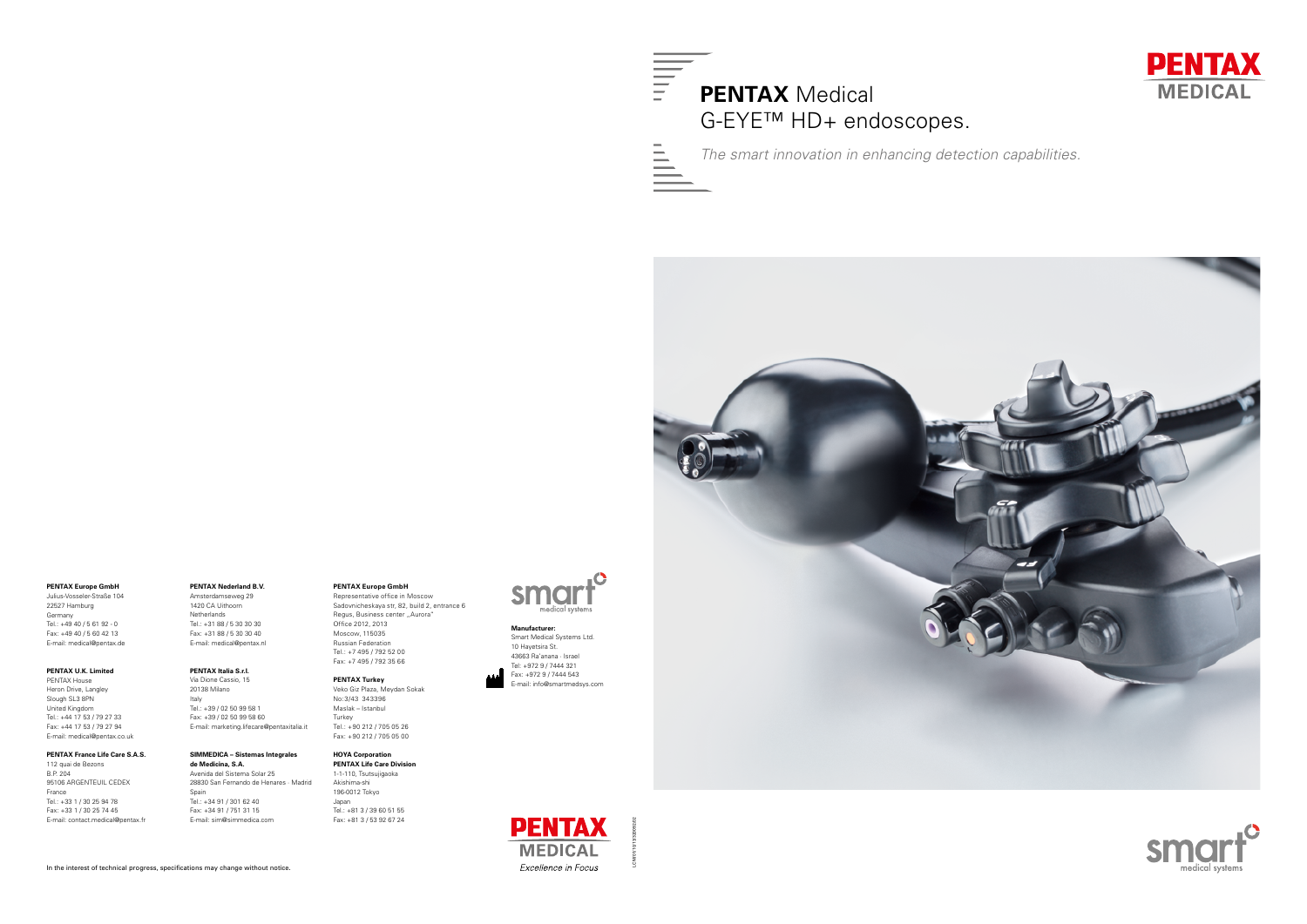#### **PENTAX Nederland B.V.**

Amsterdamseweg 29 1420 CA Uithoorn Netherlands Tel.: +31 88 / 5 30 30 30 Fax: +31 88 / 5 30 30 40 E-mail: medical@pentax.nl

#### **PENTAX Italia S.r.l.**

Via Dione Cassio, 15 20138 Milano Italy Tel.: +39 / 02 50 99 58 1 Fax: +39 / 02 50 99 58 60 E-mail: marketing.lifecare@pentaxitalia.it

### **SIMMEDICA – Sistemas Integrales de Medicina, S.A.**

Avenida del Sistema Solar 25 28830 San Fernando de Henares · Madrid Spain Tel.: +34 91 / 301 62 40 Fax: +34 91 / 751 31 15 E-mail: sim@simmedica.com

### **PENTAX Europe GmbH**

Representative office in Moscow Sadovnicheskaya str, 82, build 2, entrance 6 Regus, Business center "Aurora" Office 2012, 2013 Moscow, 115035 Russian Federation Tel.: +7 495 / 792 52 00 Fax: +7 495 / 792 35 66

### **PENTAX Turkey**

Veko Giz Plaza, Meydan Sokak No:3/43 343396 Maslak – Istanbul Turkey Tel.: +90 212 / 705 05 26 Fax: +90 212 / 705 05 00

#### **HOYA Corporation PENTAX Life Care Division**

1-1-110, Tsutsujigaoka Akishima-shi 196-0012 Tokyo Japan Tel.: +81 3 / 39 60 51 55 Fax: +81 3 / 53 92 67 24



**PENTAX Europe GmbH**

Julius-Vosseler-Straße 104 22527 Hamburg Germany Tel.: +49 40 / 5 61 92 - 0 Fax: +49 40 / 5 60 42 13 E-mail: medical@pentax.de

#### **PENTAX U.K. Limited**

Pentax House Heron Drive, Langley Slough SL3 8PN United Kingdom Tel.: +44 17 53 / 79 27 33 Fax: +44 17 53 / 79 27 94 E-mail: medical@pentax.co.uk

### **PENTAX France Life Care S.A.S.**

112 quai de Bezons B.P. 204 95106 ARGENTEUIL CEDEX France Tel.: +33 1 / 30 25 94 78 Fax: +33 1 / 30 25 74 45 E-mail: contact.medical@pentax.fr

In the interest of technical progress, specifications may change without notice.



*The smart innovation in enhancing detection capabilities.*



# **PENTAX MEDICAL** Excellence in Focus

#### **Manufacturer:**

Smart Medical Systems Ltd. 10 Hayetsira St. 43663 Ra'anana · Israel Tel: +972 9 / 7444 321 Fax: +972 9 / 7444 543 E-mail: info@smartmedsys.com





LCM/01/10/13/320092/02